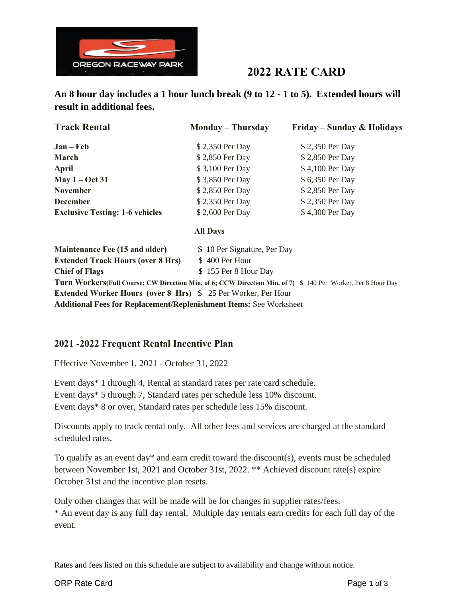

# **2022 RATE CARD**

**An 8 hour day includes a 1 hour lunch break (9 to 12 - 1 to 5). Extended hours will result in additional fees.**

| <b>Track Rental</b>                    | <b>Monday – Thursday</b> | Friday – Sunday & Holidays |
|----------------------------------------|--------------------------|----------------------------|
| $Jan - Feb$                            | \$2,350 Per Day          | \$2,350 Per Day            |
| March                                  | \$2,850 Per Day          | \$2,850 Per Day            |
| April                                  | \$3,100 Per Day          | \$4,100 Per Day            |
| May $1 - Oct 31$                       | \$3,850 Per Day          | \$6,350 Per Day            |
| <b>November</b>                        | \$2,850 Per Day          | \$2,850 Per Day            |
| <b>December</b>                        | \$2,350 Per Day          | \$2,350 Per Day            |
| <b>Exclusive Testing: 1-6 vehicles</b> | \$2,600 Per Day          | \$4,300 Per Day            |
|                                        | <b>All Days</b>          |                            |

| <b>Maintenance Fee (15 and older)</b>                                      | \$10 Per Signature, Per Day                                                                                   |
|----------------------------------------------------------------------------|---------------------------------------------------------------------------------------------------------------|
| <b>Extended Track Hours (over 8 Hrs)</b>                                   | \$400 Per Hour                                                                                                |
| <b>Chief of Flags</b>                                                      | \$155 Per 8 Hour Day                                                                                          |
|                                                                            | Turn Workers (Full Course; CW Direction Min. of 6; CCW Direction Min. of 7) \$ 140 Per Worker, Per 8 Hour Day |
| <b>Extended Worker Hours (over 8 Hrs)</b> \$25 Per Worker, Per Hour        |                                                                                                               |
| $\mathbf{A}$ in the contract of $\mathbf{A}$ is a contract of $\mathbf{A}$ |                                                                                                               |

**Additional Fees for Replacement/Replenishment Items:** See Worksheet

## **2021 -2022 Frequent Rental Incentive Plan**

Effective November 1, 2021 - October 31, 2022

Event days\* 1 through 4, Rental at standard rates per rate card schedule. Event days\* 5 through 7, Standard rates per schedule less 10% discount. Event days\* 8 or over, Standard rates per schedule less 15% discount.

Discounts apply to track rental only. All other fees and services are charged at the standard scheduled rates.

To qualify as an event day\* and earn credit toward the discount(s), events must be scheduled between November 1st, 2021 and October 31st, 2022. \*\* Achieved discount rate(s) expire October 31st and the incentive plan resets.

Only other changes that will be made will be for changes in supplier rates/fees. \* An event day is any full day rental. Multiple day rentals earn credits for each full day of the event.

Rates and fees listed on this schedule are subject to availability and change without notice.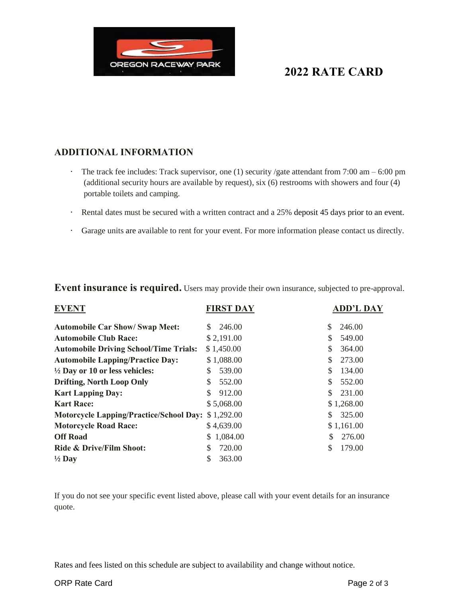

## **ADDITIONAL INFORMATION**

- **·** The track fee includes: Track supervisor, one (1) security /gate attendant from 7:00 am 6:00 pm (additional security hours are available by request), six (6) restrooms with showers and four (4) portable toilets and camping.
- **·** Rental dates must be secured with a written contract and a 25% deposit 45 days prior to an event.
- **·** Garage units are available to rent for your event. For more information please contact us directly.

**Event insurance is required.** Users may provide their own insurance, subjected to pre-approval.

| <b>EVENT</b>                                   | <b>FIRST DAY</b>       | <b>ADD'L DAY</b> |
|------------------------------------------------|------------------------|------------------|
| <b>Automobile Car Show/ Swap Meet:</b>         | 246.00<br><sup>S</sup> | \$<br>246.00     |
| <b>Automobile Club Race:</b>                   | \$2,191.00             | \$<br>549.00     |
| <b>Automobile Driving School/Time Trials:</b>  | \$1,450.00             | \$<br>364.00     |
| <b>Automobile Lapping/Practice Day:</b>        | \$1,088.00             | \$<br>273.00     |
| $\frac{1}{2}$ Day or 10 or less vehicles:      | 539.00<br>S            | \$<br>134.00     |
| <b>Drifting, North Loop Only</b>               | 552.00                 | \$<br>552.00     |
| <b>Kart Lapping Day:</b>                       | 912.00<br>\$.          | \$<br>231.00     |
| <b>Kart Race:</b>                              | \$5,068.00             | \$1,268.00       |
| <b>Motorcycle Lapping/Practice/School Day:</b> | \$1,292.00             | \$<br>325.00     |
| <b>Motorcycle Road Race:</b>                   | \$4,639.00             | \$1,161.00       |
| <b>Off Road</b>                                | \$1,084.00             | \$<br>276.00     |
| Ride & Drive/Film Shoot:                       | 720.00                 | \$<br>179.00     |
| $\frac{1}{2}$ Day                              | 363.00                 |                  |

If you do not see your specific event listed above, please call with your event details for an insurance quote.

Rates and fees listed on this schedule are subject to availability and change without notice.